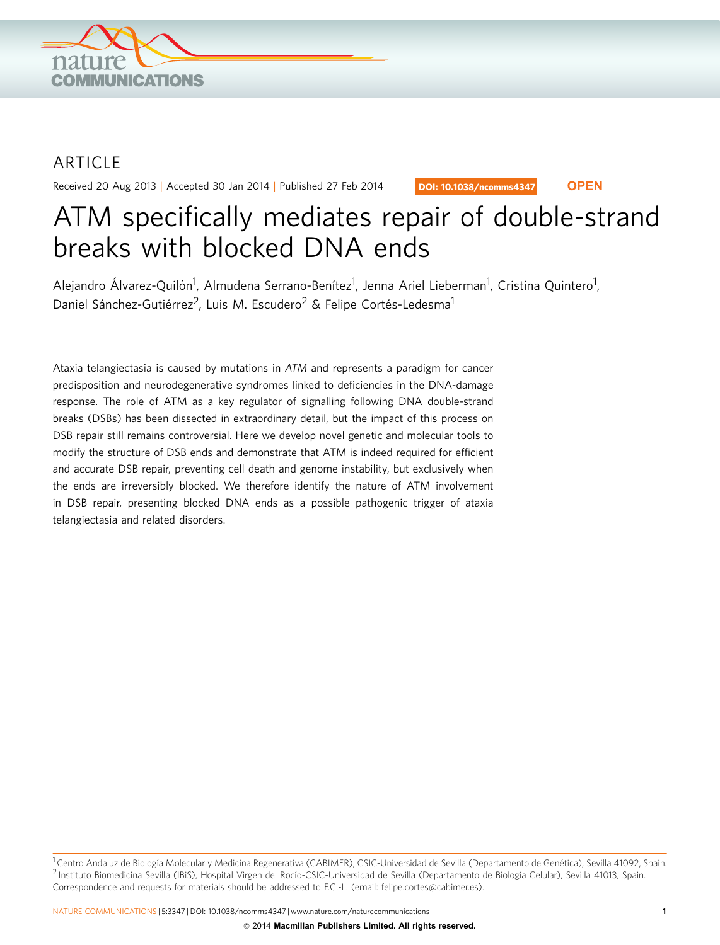

## ARTICLE

Received 20 Aug 2013 | Accepted 30 Jan 2014 | Published 27 Feb 2014

DOI: 10.1038/ncomms4347 **OPEN**

# ATM specifically mediates repair of double-strand breaks with blocked DNA ends

Alejandro Álvarez-Quilón<sup>1</sup>, Almudena Serrano-Benítez<sup>1</sup>, Jenna Ariel Lieberman<sup>1</sup>, Cristina Quintero<sup>1</sup>, Daniel Sánchez-Gutiérrez<sup>2</sup>, Luis M. Escudero<sup>2</sup> & Felipe Cortés-Ledesma<sup>1</sup>

Ataxia telangiectasia is caused by mutations in ATM and represents a paradigm for cancer predisposition and neurodegenerative syndromes linked to deficiencies in the DNA-damage response. The role of ATM as a key regulator of signalling following DNA double-strand breaks (DSBs) has been dissected in extraordinary detail, but the impact of this process on DSB repair still remains controversial. Here we develop novel genetic and molecular tools to modify the structure of DSB ends and demonstrate that ATM is indeed required for efficient and accurate DSB repair, preventing cell death and genome instability, but exclusively when the ends are irreversibly blocked. We therefore identify the nature of ATM involvement in DSB repair, presenting blocked DNA ends as a possible pathogenic trigger of ataxia telangiectasia and related disorders.

<sup>&</sup>lt;sup>1</sup> Centro Andaluz de Biología Molecular y Medicina Regenerativa (CABIMER), CSIC-Universidad de Sevilla (Departamento de Genética), Sevilla 41092, Spain. <sup>2</sup> Instituto Biomedicina Sevilla (IBiS), Hospital Virgen del Rocío-CSIC-Universidad de Sevilla (Departamento de Biología Celular), Sevilla 41013, Spain. Correspondence and requests for materials should be addressed to F.C.-L. (email: [felipe.cortes@cabimer.es\)](mailto:felipe.cortes@cabimer.es).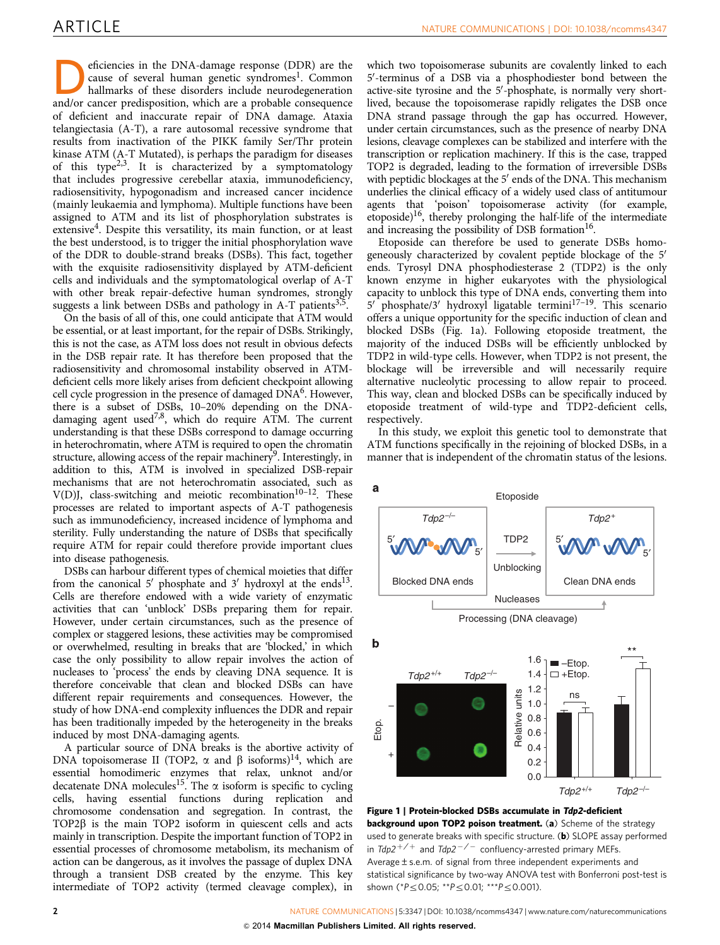<span id="page-1-0"></span>eficiencies in the DNA-damage response (DDR) are the cause of several human genetic syndromes<sup>1</sup>. Common hallmarks of these disorders include neurodegeneration cause of several human genetic syndromes<sup>1</sup>. Common and/or cancer predisposition, which are a probable consequence of deficient and inaccurate repair of DNA damage. Ataxia telangiectasia (A-T), a rare autosomal recessive syndrome that results from inactivation of the PIKK family Ser/Thr protein kinase ATM (A-T Mutated), is perhaps the paradigm for diseases of this type<sup>[2,3](#page-8-0)</sup>. It is characterized by a symptomatology that includes progressive cerebellar ataxia, immunodeficiency, radiosensitivity, hypogonadism and increased cancer incidence (mainly leukaemia and lymphoma). Multiple functions have been assigned to ATM and its list of phosphorylation substrates is extensive<sup>4</sup>. Despite this versatility, its main function, or at least the best understood, is to trigger the initial phosphorylation wave of the DDR to double-strand breaks (DSBs). This fact, together with the exquisite radiosensitivity displayed by ATM-deficient cells and individuals and the symptomatological overlap of A-T with other break repair-defective human syndromes, strongly suggests a link between DSBs and pathology in A-T patients<sup>[3,5](#page-8-0)</sup>

On the basis of all of this, one could anticipate that ATM would be essential, or at least important, for the repair of DSBs. Strikingly, this is not the case, as ATM loss does not result in obvious defects in the DSB repair rate. It has therefore been proposed that the radiosensitivity and chromosomal instability observed in ATMdeficient cells more likely arises from deficient checkpoint allowing cell cycle progression in the presence of damaged DN[A6.](#page-8-0) However, there is a subset of DSBs, 10–20% depending on the DNAdamaging agent used<sup>7,8</sup>, which do require ATM. The current understanding is that these DSBs correspond to damage occurring in heterochromatin, where ATM is required to open the chromatin structure, allowing access of the repair machinery<sup>[9](#page-8-0)</sup>. Interestingly, in addition to this, ATM is involved in specialized DSB-repair mechanisms that are not heterochromatin associated, such as V(D)J, class-switching and meiotic recombination $10^{-12}$ . These processes are related to important aspects of A-T pathogenesis such as immunodeficiency, increased incidence of lymphoma and sterility. Fully understanding the nature of DSBs that specifically require ATM for repair could therefore provide important clues into disease pathogenesis.

DSBs can harbour different types of chemical moieties that differ from the canonical 5' phosphate and 3' hydroxyl at the ends<sup>13</sup>. Cells are therefore endowed with a wide variety of enzymatic activities that can 'unblock' DSBs preparing them for repair. However, under certain circumstances, such as the presence of complex or staggered lesions, these activities may be compromised or overwhelmed, resulting in breaks that are 'blocked,' in which case the only possibility to allow repair involves the action of nucleases to 'process' the ends by cleaving DNA sequence. It is therefore conceivable that clean and blocked DSBs can have different repair requirements and consequences. However, the study of how DNA-end complexity influences the DDR and repair has been traditionally impeded by the heterogeneity in the breaks induced by most DNA-damaging agents.

A particular source of DNA breaks is the abortive activity of DNA topoisomerase II (TOP2,  $\alpha$  and  $\beta$  isoforms)<sup>14</sup>, which are essential homodimeric enzymes that relax, unknot and/or decatenate DNA molecules<sup>15</sup>. The  $\alpha$  isoform is specific to cycling cells, having essential functions during replication and chromosome condensation and segregation. In contrast, the  $TOP2\beta$  is the main TOP2 isoform in quiescent cells and acts mainly in transcription. Despite the important function of TOP2 in essential processes of chromosome metabolism, its mechanism of action can be dangerous, as it involves the passage of duplex DNA through a transient DSB created by the enzyme. This key intermediate of TOP2 activity (termed cleavage complex), in

which two topoisomerase subunits are covalently linked to each 5'-terminus of a DSB via a phosphodiester bond between the active-site tyrosine and the 5'-phosphate, is normally very shortlived, because the topoisomerase rapidly religates the DSB once DNA strand passage through the gap has occurred. However, under certain circumstances, such as the presence of nearby DNA lesions, cleavage complexes can be stabilized and interfere with the transcription or replication machinery. If this is the case, trapped TOP2 is degraded, leading to the formation of irreversible DSBs with peptidic blockages at the  $5'$  ends of the DNA. This mechanism underlies the clinical efficacy of a widely used class of antitumour agents that 'poison' topoisomerase activity (for example, etoposide)<sup>16</sup>, thereby prolonging the half-life of the intermediate and increasing the possibility of DSB formation $16$ .

Etoposide can therefore be used to generate DSBs homogeneously characterized by covalent peptide blockage of the 5<sup>'</sup> ends. Tyrosyl DNA phosphodiesterase 2 (TDP2) is the only known enzyme in higher eukaryotes with the physiological capacity to unblock this type of DNA ends, converting them into 5' phosphate/3' hydroxyl ligatable termini<sup>17-19</sup>. This scenario offers a unique opportunity for the specific induction of clean and blocked DSBs (Fig. 1a). Following etoposide treatment, the majority of the induced DSBs will be efficiently unblocked by TDP2 in wild-type cells. However, when TDP2 is not present, the blockage will be irreversible and will necessarily require alternative nucleolytic processing to allow repair to proceed. This way, clean and blocked DSBs can be specifically induced by etoposide treatment of wild-type and TDP2-deficient cells, respectively.

In this study, we exploit this genetic tool to demonstrate that ATM functions specifically in the rejoining of blocked DSBs, in a manner that is independent of the chromatin status of the lesions.



Figure 1 | Protein-blocked DSBs accumulate in Tdp2-deficient background upon TOP2 poison treatment. (a) Scheme of the strategy used to generate breaks with specific structure. (b) SLOPE assay performed in  $Tdp2^{+/+}$  and  $Tdp2^{-/-}$  confluency-arrested primary MEFs. Average±s.e.m. of signal from three independent experiments and statistical significance by two-way ANOVA test with Bonferroni post-test is shown (\* $P \le 0.05$ ; \*\* $P \le 0.01$ ; \*\*\* $P \le 0.001$ ).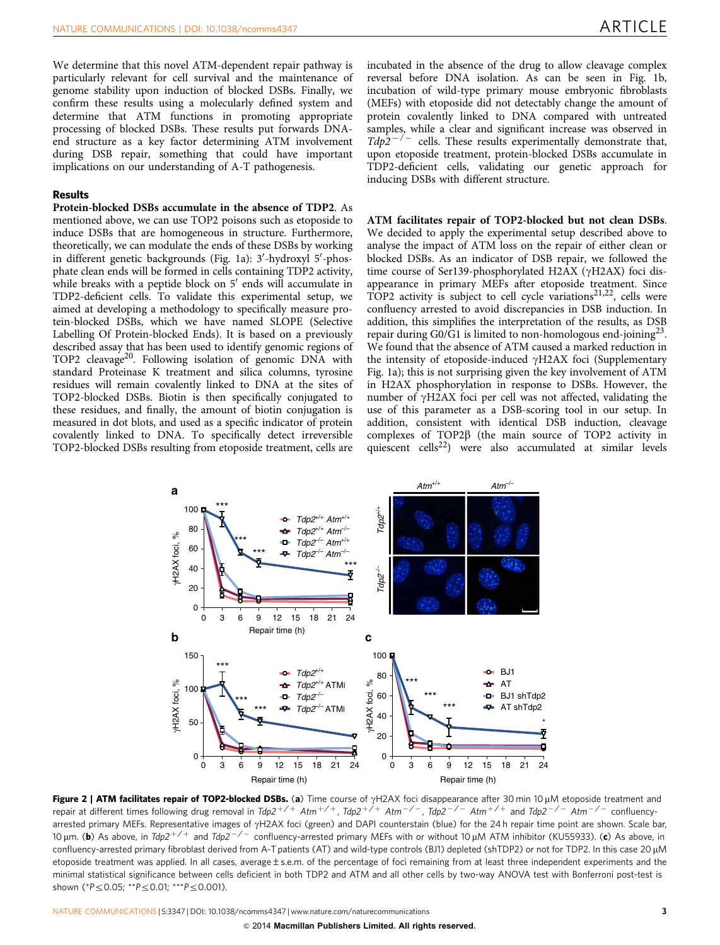<span id="page-2-0"></span>We determine that this novel ATM-dependent repair pathway is particularly relevant for cell survival and the maintenance of genome stability upon induction of blocked DSBs. Finally, we confirm these results using a molecularly defined system and determine that ATM functions in promoting appropriate processing of blocked DSBs. These results put forwards DNAend structure as a key factor determining ATM involvement during DSB repair, something that could have important implications on our understanding of A-T pathogenesis.

#### Results

Protein-blocked DSBs accumulate in the absence of TDP2. As mentioned above, we can use TOP2 poisons such as etoposide to induce DSBs that are homogeneous in structure. Furthermore, theoretically, we can modulate the ends of these DSBs by working in different genetic backgrounds ([Fig. 1a](#page-1-0)): 3'-hydroxyl 5'-phosphate clean ends will be formed in cells containing TDP2 activity, while breaks with a peptide block on  $5'$  ends will accumulate in TDP2-deficient cells. To validate this experimental setup, we aimed at developing a methodology to specifically measure protein-blocked DSBs, which we have named SLOPE (Selective Labelling Of Protein-blocked Ends). It is based on a previously described assay that has been used to identify genomic regions of TOP2 cleavage<sup>[20](#page-8-0)</sup>. Following isolation of genomic DNA with standard Proteinase K treatment and silica columns, tyrosine residues will remain covalently linked to DNA at the sites of TOP2-blocked DSBs. Biotin is then specifically conjugated to these residues, and finally, the amount of biotin conjugation is measured in dot blots, and used as a specific indicator of protein covalently linked to DNA. To specifically detect irreversible TOP2-blocked DSBs resulting from etoposide treatment, cells are

incubated in the absence of the drug to allow cleavage complex reversal before DNA isolation. As can be seen in [Fig. 1b,](#page-1-0) incubation of wild-type primary mouse embryonic fibroblasts (MEFs) with etoposide did not detectably change the amount of protein covalently linked to DNA compared with untreated samples, while a clear and significant increase was observed in  $Tdp2^{-/-}$  cells. These results experimentally demonstrate that, upon etoposide treatment, protein-blocked DSBs accumulate in TDP2-deficient cells, validating our genetic approach for inducing DSBs with different structure.

ATM facilitates repair of TOP2-blocked but not clean DSBs. We decided to apply the experimental setup described above to analyse the impact of ATM loss on the repair of either clean or blocked DSBs. As an indicator of DSB repair, we followed the time course of Ser139-phosphorylated H2AX ( $\gamma$ H2AX) foci disappearance in primary MEFs after etoposide treatment. Since TOP2 activity is subject to cell cycle variations<sup>[21,22](#page-8-0)</sup>, cells were confluency arrested to avoid discrepancies in DSB induction. In addition, this simplifies the interpretation of the results, as DSB repair during  $G0/G1$  is limited to non-homologous end-joining<sup>23</sup>. We found that the absence of ATM caused a marked reduction in the intensity of etoposide-induced  $\gamma$ H2AX foci (Supplementary Fig. 1a); this is not surprising given the key involvement of ATM in H2AX phosphorylation in response to DSBs. However, the number of  $\gamma$ H2AX foci per cell was not affected, validating the use of this parameter as a DSB-scoring tool in our setup. In addition, consistent with identical DSB induction, cleavage complexes of TOP2 $\beta$  (the main source of TOP2 activity in quiescent cells<sup>22</sup>) were also accumulated at similar levels



Figure 2 | ATM facilitates repair of TOP2-blocked DSBs. (a) Time course of  $\gamma$ H2AX foci disappearance after 30 min 10 µM etoposide treatment and repair at different times following drug removal in Tdp2<sup>+/+</sup> Atm<sup>+/+</sup>, Tdp2<sup>+/+</sup> Atm<sup>-/-</sup>, Tdp2<sup>-/-</sup> Atm<sup>+/+</sup> and Tdp2<sup>-/-</sup> Atm<sup>-/-</sup> confluencyarrested primary MEFs. Representative images of yH2AX foci (green) and DAPI counterstain (blue) for the 24 h repair time point are shown. Scale bar, 10 µm. (b) As above, in Tdp2+/+ and Tdp2-/- confluency-arrested primary MEFs with or without 10 µM ATM inhibitor (KU55933). (c) As above, in confluency-arrested primary fibroblast derived from A-T patients (AT) and wild-type controls (BJ1) depleted (shTDP2) or not for TDP2. In this case 20 µM etoposide treatment was applied. In all cases, average ± s.e.m. of the percentage of foci remaining from at least three independent experiments and the minimal statistical significance between cells deficient in both TDP2 and ATM and all other cells by two-way ANOVA test with Bonferroni post-test is shown (\* $P \le 0.05$ ; \*\* $P \le 0.01$ ; \*\*\* $P \le 0.001$ ).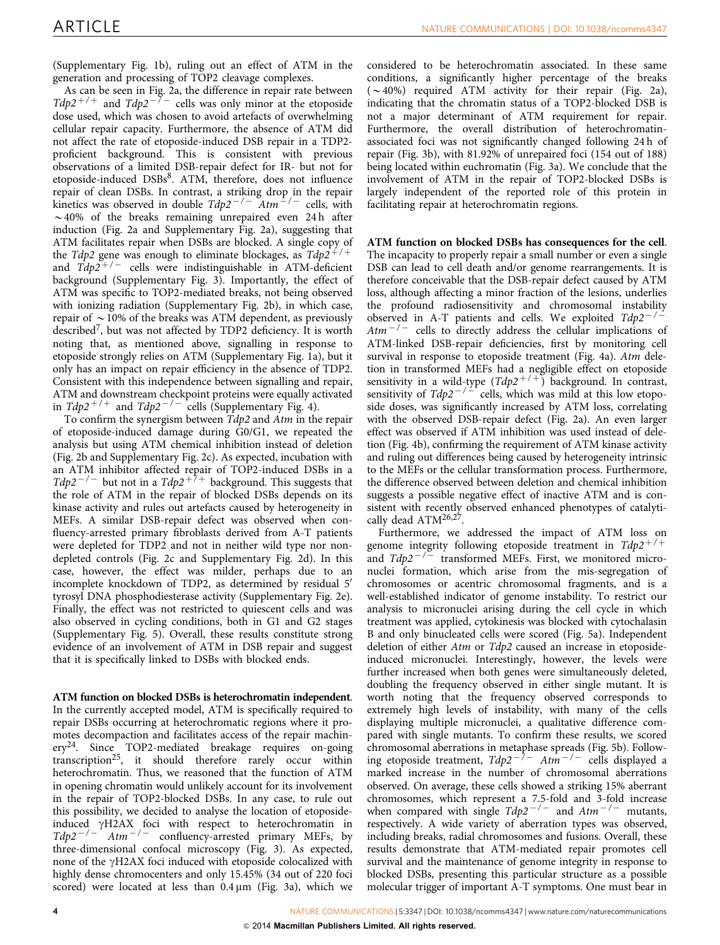(Supplementary Fig. 1b), ruling out an effect of ATM in the generation and processing of TOP2 cleavage complexes.

As can be seen in [Fig. 2a](#page-2-0), the difference in repair rate between Tdp2<sup>+/+</sup> and Tdp2<sup>-7-</sup> cells was only minor at the etoposide dose used, which was chosen to avoid artefacts of overwhelming cellular repair capacity. Furthermore, the absence of ATM did not affect the rate of etoposide-induced DSB repair in a TDP2 proficient background. This is consistent with previous observations of a limited DSB-repair defect for IR- but not for etoposide-induced DSBs<sup>8</sup>. ATM, therefore, does not influence repair of clean DSBs. In contrast, a striking drop in the repair kinetics was observed in double  $Tdp2^{-/-}$   $Atm^{-/-}$  cells, with  $\sim$  40% of the breaks remaining unrepaired even 24 h after induction [\(Fig. 2a](#page-2-0) and Supplementary Fig. 2a), suggesting that ATM facilitates repair when DSBs are blocked. A single copy of the Tdp2 gene was enough to eliminate blockages, as  $Tdp2^{+/+}$ and  $\overline{T}dp\overline{2}^{+/-}$  cells were indistinguishable in ATM-deficient background (Supplementary Fig. 3). Importantly, the effect of ATM was specific to TOP2-mediated breaks, not being observed with ionizing radiation (Supplementary Fig. 2b), in which case, repair of  $\sim$  10% of the breaks was ATM dependent, as previously described[7,](#page-8-0) but was not affected by TDP2 deficiency. It is worth noting that, as mentioned above, signalling in response to etoposide strongly relies on ATM (Supplementary Fig. 1a), but it only has an impact on repair efficiency in the absence of TDP2. Consistent with this independence between signalling and repair, ATM and downstream checkpoint proteins were equally activated in  $Tdp2^{+/+}$  and  $Tdp2^{-/-}$  cells (Supplementary Fig. 4).

To confirm the synergism between Tdp2 and Atm in the repair of etoposide-induced damage during G0/G1, we repeated the analysis but using ATM chemical inhibition instead of deletion ([Fig. 2b](#page-2-0) and Supplementary Fig. 2c). As expected, incubation with an ATM inhibitor affected repair of TOP2-induced DSBs in a  $Tdp2^{-/-}$  but not in a  $Tdp2^{+/+}$  background. This suggests that the role of ATM in the repair of blocked DSBs depends on its kinase activity and rules out artefacts caused by heterogeneity in MEFs. A similar DSB-repair defect was observed when confluency-arrested primary fibroblasts derived from A-T patients were depleted for TDP2 and not in neither wild type nor nondepleted controls ([Fig. 2c](#page-2-0) and Supplementary Fig. 2d). In this case, however, the effect was milder, perhaps due to an incomplete knockdown of TDP2, as determined by residual 5' tyrosyl DNA phosphodiesterase activity (Supplementary Fig. 2e). Finally, the effect was not restricted to quiescent cells and was also observed in cycling conditions, both in G1 and G2 stages (Supplementary Fig. 5). Overall, these results constitute strong evidence of an involvement of ATM in DSB repair and suggest that it is specifically linked to DSBs with blocked ends.

### ATM function on blocked DSBs is heterochromatin independent.

In the currently accepted model, ATM is specifically required to repair DSBs occurring at heterochromatic regions where it promotes decompaction and facilitates access of the repair machinery<sup>24</sup>. Since TOP2-mediated breakage requires on-going transcription<sup>25</sup>, it should therefore rarely occur within heterochromatin. Thus, we reasoned that the function of ATM in opening chromatin would unlikely account for its involvement in the repair of TOP2-blocked DSBs. In any case, to rule out this possibility, we decided to analyse the location of etoposideinduced gH2AX foci with respect to heterochromatin in  $Tdp2^{-/-}$  Atm<sup>-/-</sup> confluency-arrested primary MEFs, by three-dimensional confocal microscopy [\(Fig. 3\)](#page-4-0). As expected, none of the  $\gamma$ H2AX foci induced with etoposide colocalized with highly dense chromocenters and only 15.45% (34 out of 220 foci scored) were located at less than  $0.4 \,\mu m$  [\(Fig. 3a](#page-4-0)), which we

considered to be heterochromatin associated. In these same conditions, a significantly higher percentage of the breaks  $(\sim 40\%)$  required ATM activity for their repair [\(Fig. 2a](#page-2-0)), indicating that the chromatin status of a TOP2-blocked DSB is not a major determinant of ATM requirement for repair. Furthermore, the overall distribution of heterochromatinassociated foci was not significantly changed following 24 h of repair [\(Fig. 3b](#page-4-0)), with 81.92% of unrepaired foci (154 out of 188) being located within euchromatin [\(Fig. 3a](#page-4-0)). We conclude that the involvement of ATM in the repair of TOP2-blocked DSBs is largely independent of the reported role of this protein in facilitating repair at heterochromatin regions.

ATM function on blocked DSBs has consequences for the cell. The incapacity to properly repair a small number or even a single DSB can lead to cell death and/or genome rearrangements. It is therefore conceivable that the DSB-repair defect caused by ATM loss, although affecting a minor fraction of the lesions, underlies the profound radiosensitivity and chromosomal instability observed in A-T patients and cells. We exploited  $Tdp2^{-/-}$  $Atm^{-/-}$  cells to directly address the cellular implications of ATM-linked DSB-repair deficiencies, first by monitoring cell survival in response to etoposide treatment [\(Fig. 4a](#page-4-0)). Atm deletion in transformed MEFs had a negligible effect on etoposide sensitivity in a wild-type  $(Tdp2^{+/+})$  background. In contrast, sensitivity of  $Tdp2^{-1}$  cells, which was mild at this low etoposide doses, was significantly increased by ATM loss, correlating with the observed DSB-repair defect ([Fig. 2a\)](#page-2-0). An even larger effect was observed if ATM inhibition was used instead of deletion [\(Fig. 4b\)](#page-4-0), confirming the requirement of ATM kinase activity and ruling out differences being caused by heterogeneity intrinsic to the MEFs or the cellular transformation process. Furthermore, the difference observed between deletion and chemical inhibition suggests a possible negative effect of inactive ATM and is consistent with recently observed enhanced phenotypes of catalytically dead ATM<sup>26,27</sup>.

Furthermore, we addressed the impact of ATM loss on genome integrity following etoposide treatment in  $Tdp2^{+/+}$ and  $Tdp2^{-1/2}$  transformed MEFs. First, we monitored micronuclei formation, which arise from the mis-segregation of chromosomes or acentric chromosomal fragments, and is a well-established indicator of genome instability. To restrict our analysis to micronuclei arising during the cell cycle in which treatment was applied, cytokinesis was blocked with cytochalasin B and only binucleated cells were scored ([Fig. 5a\)](#page-5-0). Independent deletion of either Atm or Tdp2 caused an increase in etoposideinduced micronuclei. Interestingly, however, the levels were further increased when both genes were simultaneously deleted, doubling the frequency observed in either single mutant. It is worth noting that the frequency observed corresponds to extremely high levels of instability, with many of the cells displaying multiple micronuclei, a qualitative difference compared with single mutants. To confirm these results, we scored chromosomal aberrations in metaphase spreads ([Fig. 5b](#page-5-0)). Following etoposide treatment,  $Tdp2^{-7}$   $Atm^{-7}$  cells displayed a marked increase in the number of chromosomal aberrations observed. On average, these cells showed a striking 15% aberrant chromosomes, which represent a 7.5-fold and 3-fold increase when compared with single  $Tdp2^{-/-}$  and  $Atm^{-/-}$  mutants, respectively. A wide variety of aberration types was observed, including breaks, radial chromosomes and fusions. Overall, these results demonstrate that ATM-mediated repair promotes cell survival and the maintenance of genome integrity in response to blocked DSBs, presenting this particular structure as a possible molecular trigger of important A-T symptoms. One must bear in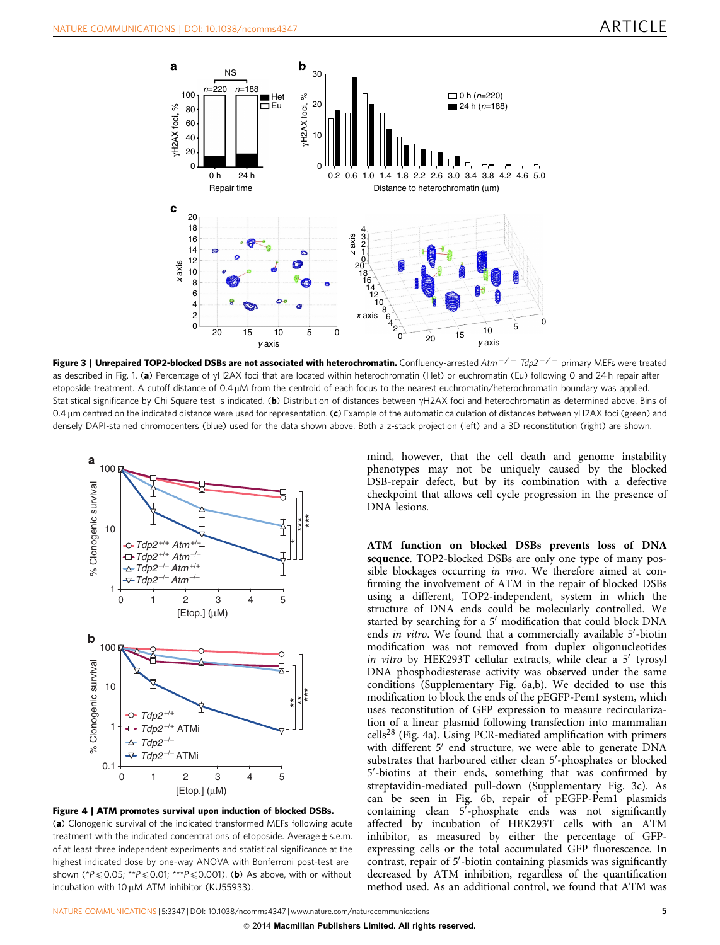<span id="page-4-0"></span>

Figure 3 | Unrepaired TOP2-blocked DSBs are not associated with heterochromatin. Confluency-arrested Atm $^{-/-}$  Tdp2 $^{-/-}$  primary MEFs were treated as described in [Fig. 1.](#page-1-0) (a) Percentage of  $\gamma$ H2AX foci that are located within heterochromatin (Het) or euchromatin (Eu) following 0 and 24 h repair after etoposide treatment. A cutoff distance of 0.4 µM from the centroid of each focus to the nearest euchromatin/heterochromatin boundary was applied. Statistical significance by Chi Square test is indicated. (b) Distribution of distances between  $\gamma$ H2AX foci and heterochromatin as determined above. Bins of 0.4  $\mu$ m centred on the indicated distance were used for representation. (c) Example of the automatic calculation of distances between  $\gamma$ H2AX foci (green) and densely DAPI-stained chromocenters (blue) used for the data shown above. Both a z-stack projection (left) and a 3D reconstitution (right) are shown.





mind, however, that the cell death and genome instability phenotypes may not be uniquely caused by the blocked DSB-repair defect, but by its combination with a defective checkpoint that allows cell cycle progression in the presence of DNA lesions.

ATM function on blocked DSBs prevents loss of DNA sequence. TOP2-blocked DSBs are only one type of many possible blockages occurring in vivo. We therefore aimed at confirming the involvement of ATM in the repair of blocked DSBs using a different, TOP2-independent, system in which the structure of DNA ends could be molecularly controlled. We started by searching for a 5' modification that could block DNA ends in vitro. We found that a commercially available 5'-biotin modification was not removed from duplex oligonucleotides in vitro by HEK293T cellular extracts, while clear a  $5'$  tyrosyl DNA phosphodiesterase activity was observed under the same conditions (Supplementary Fig. 6a,b). We decided to use this modification to block the ends of the pEGFP-Pem1 system, which uses reconstitution of GFP expression to measure recircularization of a linear plasmid following transfection into mammalian  $\text{cells}^{28}$  $\text{cells}^{28}$  $\text{cells}^{28}$  (Fig. 4a). Using PCR-mediated amplification with primers with different 5' end structure, we were able to generate DNA substrates that harboured either clean 5'-phosphates or blocked 5'-biotins at their ends, something that was confirmed by streptavidin-mediated pull-down (Supplementary Fig. 3c). As can be seen in [Fig. 6b,](#page-6-0) repair of pEGFP-Pem1 plasmids containing clean  $5^7$ -phosphate ends was not significantly affected by incubation of HEK293T cells with an ATM inhibitor, as measured by either the percentage of GFPexpressing cells or the total accumulated GFP fluorescence. In contrast, repair of 5'-biotin containing plasmids was significantly decreased by ATM inhibition, regardless of the quantification method used. As an additional control, we found that ATM was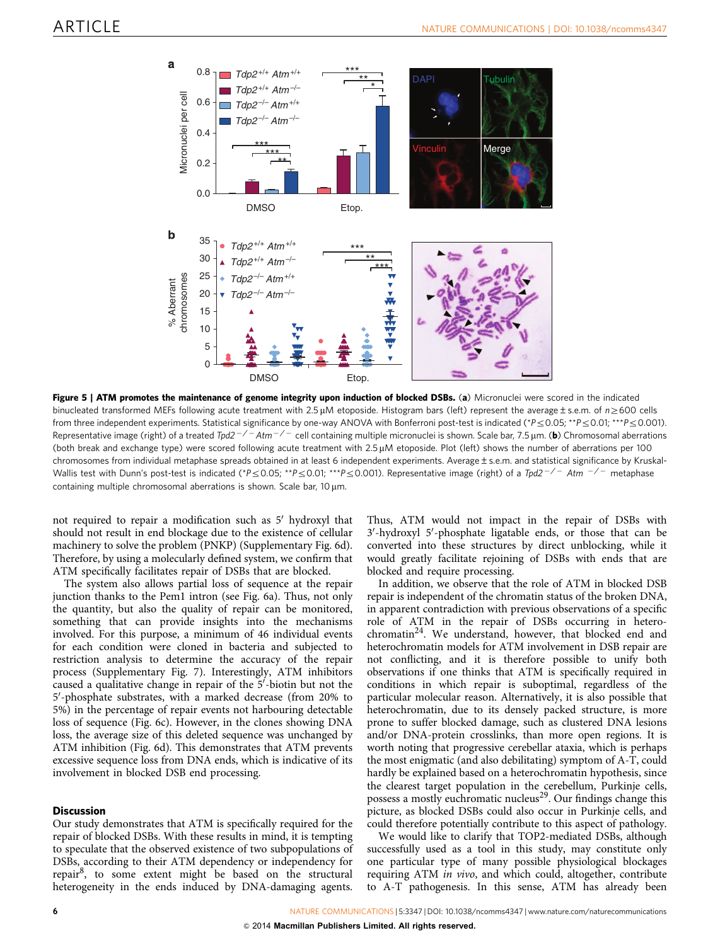<span id="page-5-0"></span>

Figure 5 | ATM promotes the maintenance of genome integrity upon induction of blocked DSBs. (a) Micronuclei were scored in the indicated binucleated transformed MEFs following acute treatment with  $2.5 \mu$ M etoposide. Histogram bars (left) represent the average ± s.e.m. of  $n \ge 600$  cells from three independent experiments. Statistical significance by one-way ANOVA with Bonferroni post-test is indicated (\* $P \le 0.05$ ; \*\* $P \le 0.01$ ; \*\*\* $P \le 0.001$ ). Representative image (right) of a treated Tpd2 $^{-/-}$ Atm $^{-/-}$  cell containing multiple micronuclei is shown. Scale bar, 7.5 µm. (**b**) Chromosomal aberrations (both break and exchange type) were scored following acute treatment with 2.5 µM etoposide. Plot (left) shows the number of aberrations per 100 chromosomes from individual metaphase spreads obtained in at least 6 independent experiments. Average ± s.e.m. and statistical significance by Kruskal-Wallis test with Dunn's post-test is indicated (\*P $\leq$ 0.05; \*\*P $\leq$ 0.01; \*\*\*P $\leq$ 0.001). Representative image (right) of a Tpd2 $^{-/-}$  Atm  $^{-/-}$  metaphase containing multiple chromosomal aberrations is shown. Scale bar,  $10 \mu m$ .

not required to repair a modification such as 5' hydroxyl that should not result in end blockage due to the existence of cellular machinery to solve the problem (PNKP) (Supplementary Fig. 6d). Therefore, by using a molecularly defined system, we confirm that ATM specifically facilitates repair of DSBs that are blocked.

The system also allows partial loss of sequence at the repair junction thanks to the Pem1 intron (see [Fig. 6a\)](#page-6-0). Thus, not only the quantity, but also the quality of repair can be monitored, something that can provide insights into the mechanisms involved. For this purpose, a minimum of 46 individual events for each condition were cloned in bacteria and subjected to restriction analysis to determine the accuracy of the repair process (Supplementary Fig. 7). Interestingly, ATM inhibitors caused a qualitative change in repair of the 5'-biotin but not the 5'-phosphate substrates, with a marked decrease (from 20% to 5%) in the percentage of repair events not harbouring detectable loss of sequence ([Fig. 6c\)](#page-6-0). However, in the clones showing DNA loss, the average size of this deleted sequence was unchanged by ATM inhibition ([Fig. 6d\)](#page-6-0). This demonstrates that ATM prevents excessive sequence loss from DNA ends, which is indicative of its involvement in blocked DSB end processing.

#### **Discussion**

Our study demonstrates that ATM is specifically required for the repair of blocked DSBs. With these results in mind, it is tempting to speculate that the observed existence of two subpopulations of DSBs, according to their ATM dependency or independency for repair<sup>8</sup>, to some extent might be based on the structural heterogeneity in the ends induced by DNA-damaging agents.

Thus, ATM would not impact in the repair of DSBs with 3'-hydroxyl 5'-phosphate ligatable ends, or those that can be converted into these structures by direct unblocking, while it would greatly facilitate rejoining of DSBs with ends that are blocked and require processing.

In addition, we observe that the role of ATM in blocked DSB repair is independent of the chromatin status of the broken DNA, in apparent contradiction with previous observations of a specific role of ATM in the repair of DSBs occurring in hetero-chromatin<sup>[24](#page-8-0)</sup>. We understand, however, that blocked end and heterochromatin models for ATM involvement in DSB repair are not conflicting, and it is therefore possible to unify both observations if one thinks that ATM is specifically required in conditions in which repair is suboptimal, regardless of the particular molecular reason. Alternatively, it is also possible that heterochromatin, due to its densely packed structure, is more prone to suffer blocked damage, such as clustered DNA lesions and/or DNA-protein crosslinks, than more open regions. It is worth noting that progressive cerebellar ataxia, which is perhaps the most enigmatic (and also debilitating) symptom of A-T, could hardly be explained based on a heterochromatin hypothesis, since the clearest target population in the cerebellum, Purkinje cells, possess a mostly euchromatic nucleus<sup>29</sup>. Our findings change this picture, as blocked DSBs could also occur in Purkinje cells, and could therefore potentially contribute to this aspect of pathology.

We would like to clarify that TOP2-mediated DSBs, although successfully used as a tool in this study, may constitute only one particular type of many possible physiological blockages requiring ATM in vivo, and which could, altogether, contribute to A-T pathogenesis. In this sense, ATM has already been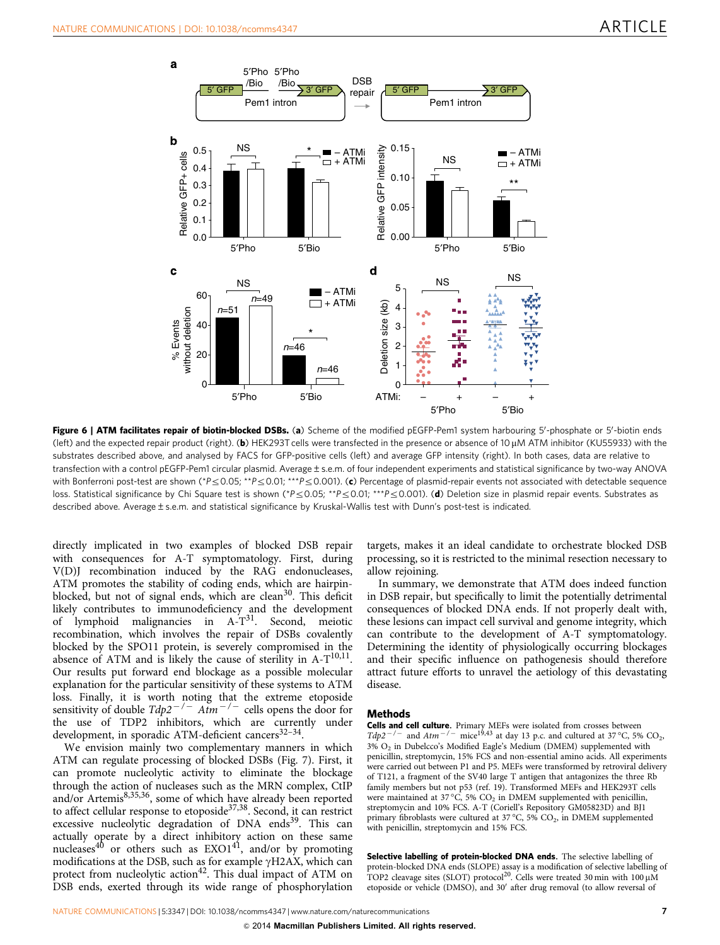<span id="page-6-0"></span>

Figure 6 | ATM facilitates repair of biotin-blocked DSBs. (a) Scheme of the modified pEGFP-Pem1 system harbouring 5'-phosphate or 5'-biotin ends (left) and the expected repair product (right). (b) HEK293T cells were transfected in the presence or absence of 10  $\mu$ M ATM inhibitor (KU55933) with the substrates described above, and analysed by FACS for GFP-positive cells (left) and average GFP intensity (right). In both cases, data are relative to transfection with a control pEGFP-Pem1 circular plasmid. Average±s.e.m. of four independent experiments and statistical significance by two-way ANOVA with Bonferroni post-test are shown (\*P  $\leq$  0.05; \*\*P $\leq$  0.01; \*\*\*P  $\leq$  0.001). (c) Percentage of plasmid-repair events not associated with detectable sequence loss. Statistical significance by Chi Square test is shown (\*P $\leq$ 0.05; \*\*P $\leq$ 0.01; \*\*P $\leq$ 0.001). (d) Deletion size in plasmid repair events. Substrates as described above. Average±s.e.m. and statistical significance by Kruskal-Wallis test with Dunn's post-test is indicated.

directly implicated in two examples of blocked DSB repair with consequences for A-T symptomatology. First, during V(D)J recombination induced by the RAG endonucleases, ATM promotes the stability of coding ends, which are hairpinblocked, but not of signal ends, which are clean<sup>30</sup>. This deficit likely contributes to immunodeficiency and the development of lymphoid malignancies in  $A-T^{31}$ . Second, meiotic recombination, which involves the repair of DSBs covalently blocked by the SPO11 protein, is severely compromised in the absence of ATM and is likely the cause of sterility in  $A-T^{10,11}$ . Our results put forward end blockage as a possible molecular explanation for the particular sensitivity of these systems to ATM loss. Finally, it is worth noting that the extreme etoposide sensitivity of double  $Tdp2^{-/-}$  Atm<sup>-/-</sup> cells opens the door for the use of TDP2 inhibitors, which are currently under development, in sporadic ATM-deficient cancers $32-34$ .

We envision mainly two complementary manners in which ATM can regulate processing of blocked DSBs ([Fig. 7\)](#page-7-0). First, it can promote nucleolytic activity to eliminate the blockage through the action of nucleases such as the MRN complex, CtIP and/or Artemis<sup>8,35,36</sup>, some of which have already been reported to affect cellular response to etoposide<sup>[37,38](#page-8-0)</sup>. Second, it can restrict excessive nucleolytic degradation of DNA ends<sup>[39](#page-8-0)</sup>. This can actually operate by a direct inhibitory action on these same nucleases<sup>[40](#page-8-0)</sup> or others such as  $EXO1^{41}$  $EXO1^{41}$  $EXO1^{41}$ , and/or by promoting modifications at the DSB, such as for example  $\gamma$ H2AX, which can protect from nucleolytic action<sup>[42](#page-8-0)</sup>. This dual impact of ATM on DSB ends, exerted through its wide range of phosphorylation

targets, makes it an ideal candidate to orchestrate blocked DSB processing, so it is restricted to the minimal resection necessary to allow rejoining.

In summary, we demonstrate that ATM does indeed function in DSB repair, but specifically to limit the potentially detrimental consequences of blocked DNA ends. If not properly dealt with, these lesions can impact cell survival and genome integrity, which can contribute to the development of A-T symptomatology. Determining the identity of physiologically occurring blockages and their specific influence on pathogenesis should therefore attract future efforts to unravel the aetiology of this devastating disease.

#### Methods

**Cells and cell culture.** Primary MEFs were isolated from crosses between  $Tdp2^{-/-}$  and  $Atm^{-/-}$  mice<sup>[19,43](#page-8-0)</sup> at day 13 p.c. and cultured at 37 °C, 5% CO<sub>2</sub>,  $3\%$  O<sub>2</sub> in Dubelcco's Modified Eagle's Medium (DMEM) supplemented with penicillin, streptomycin, 15% FCS and non-essential amino acids. All experiments were carried out between P1 and P5. MEFs were transformed by retroviral delivery of T121, a fragment of the SV40 large T antigen that antagonizes the three Rb family members but not p53 [\(ref. 19](#page-8-0)). Transformed MEFs and HEK293T cells were maintained at 37 °C, 5%  $CO<sub>2</sub>$  in DMEM supplemented with penicillin, streptomycin and 10% FCS. A-T (Coriell's Repository GM05823D) and BJ1 primary fibroblasts were cultured at 37 °C, 5%  $CO<sub>2</sub>$ , in DMEM supplemented with penicillin, streptomycin and 15% FCS.

Selective labelling of protein-blocked DNA ends. The selective labelling of protein-blocked DNA ends (SLOPE) assay is a modification of selective labelling of TOP2 cleavage sites (SLOT) protocol<sup>[20](#page-8-0)</sup>. Cells were treated 30 min with  $100 \mu M$ etoposide or vehicle (DMSO), and 30' after drug removal (to allow reversal of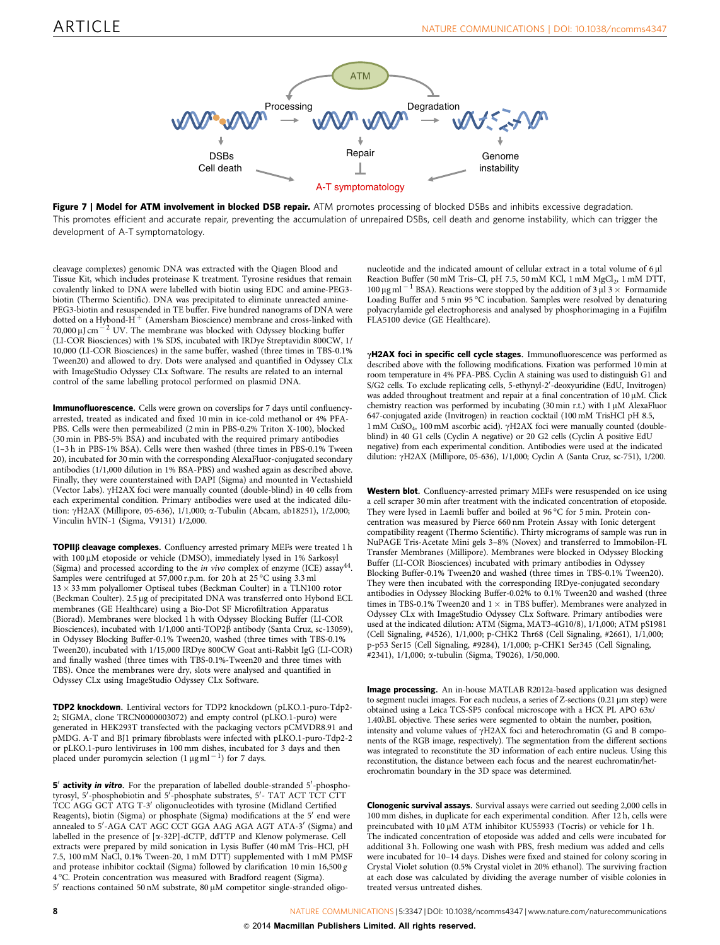<span id="page-7-0"></span>

Figure 7 | Model for ATM involvement in blocked DSB repair. ATM promotes processing of blocked DSBs and inhibits excessive degradation. This promotes efficient and accurate repair, preventing the accumulation of unrepaired DSBs, cell death and genome instability, which can trigger the development of A-T symptomatology.

cleavage complexes) genomic DNA was extracted with the Qiagen Blood and Tissue Kit, which includes proteinase K treatment. Tyrosine residues that remain covalently linked to DNA were labelled with biotin using EDC and amine-PEG3 biotin (Thermo Scientific). DNA was precipitated to eliminate unreacted amine-PEG3-biotin and resuspended in TE buffer. Five hundred nanograms of DNA were dotted on a Hybond-H <sup>þ</sup> (Amersham Bioscience) membrane and cross-linked with 70,000  $\mu$ J cm  $^{-2}$  UV. The membrane was blocked with Odyssey blocking buffer (LI-COR Biosciences) with 1% SDS, incubated with IRDye Streptavidin 800CW, 1/ 10,000 (LI-COR Biosciences) in the same buffer, washed (three times in TBS-0.1% Tween20) and allowed to dry. Dots were analysed and quantified in Odyssey CLx with ImageStudio Odyssey CLx Software. The results are related to an internal control of the same labelling protocol performed on plasmid DNA.

Immunofluorescence. Cells were grown on coverslips for 7 days until confluencyarrested, treated as indicated and fixed 10 min in ice-cold methanol or 4% PFA-PBS. Cells were then permeabilized (2 min in PBS-0.2% Triton X-100), blocked (30 min in PBS-5% BSA) and incubated with the required primary antibodies (1–3 h in PBS-1% BSA). Cells were then washed (three times in PBS-0.1% Tween 20), incubated for 30 min with the corresponding AlexaFluor-conjugated secondary antibodies (1/1,000 dilution in 1% BSA-PBS) and washed again as described above. Finally, they were counterstained with DAPI (Sigma) and mounted in Vectashield (Vector Labs). gH2AX foci were manually counted (double-blind) in 40 cells from each experimental condition. Primary antibodies were used at the indicated dilution:  $\gamma$ H<sub>2</sub>AX (Millipore, 05-636), 1/1,000;  $\alpha$ -Tubulin (Abcam, ab18251), 1/2,000; Vinculin hVIN-1 (Sigma, V9131) 1/2,000.

TOPIIß cleavage complexes. Confluency arrested primary MEFs were treated 1 h with 100 µM etoposide or vehicle (DMSO), immediately lysed in 1% Sarkosyl (Sigma) and processed according to the in vivo complex of enzyme (ICE) assay[44](#page-8-0). Samples were centrifuged at 57,000 r.p.m. for 20 h at 25 °C using 3.3 ml  $13 \times 33$  mm polyallomer Optiseal tubes (Beckman Coulter) in a TLN100 rotor (Beckman Coulter). 2.5 µg of precipitated DNA was transferred onto Hybond ECL membranes (GE Healthcare) using a Bio-Dot SF Microfiltration Apparatus (Biorad). Membranes were blocked 1 h with Odyssey Blocking Buffer (LI-COR Biosciences), incubated with  $1/1,000$  anti-TOP2 $\beta$  antibody (Santa Cruz, sc-13059), in Odyssey Blocking Buffer-0.1% Tween20, washed (three times with TBS-0.1% Tween20), incubated with 1/15,000 IRDye 800CW Goat anti-Rabbit IgG (LI-COR) and finally washed (three times with TBS-0.1%-Tween20 and three times with TBS). Once the membranes were dry, slots were analysed and quantified in Odyssey CLx using ImageStudio Odyssey CLx Software.

TDP2 knockdown. Lentiviral vectors for TDP2 knockdown (pLKO.1-puro-Tdp2- 2; SIGMA, clone TRCN0000003072) and empty control (pLKO.1-puro) were generated in HEK293T transfected with the packaging vectors pCMVDR8.91 and pMDG. A-T and BJ1 primary fibroblasts were infected with pLKO.1-puro-Tdp2-2 or pLKO.1-puro lentiviruses in 100 mm dishes, incubated for 3 days and then placed under puromycin selection  $(1 \mu g \text{ ml}^{-1})$  for 7 days.

5' activity in vitro. For the preparation of labelled double-stranded 5'-phosphotyrosyl, 5'-phosphobiotin and 5<sup>7</sup>-phosphate substrates, 5'- TAT ACT TCT CTT TCC AGG GCT ATG T-3' oligonucleotides with tyrosine (Midland Certified Reagents), biotin (Sigma) or phosphate (Sigma) modifications at the 5' end were annealed to 5'-AGA CAT AGC CCT GGA AAG AGA AGT ATA-3' (Sigma) and labelled in the presence of [a-32P]-dCTP, ddTTP and Klenow polymerase. Cell extracts were prepared by mild sonication in Lysis Buffer (40 mM Tris–HCl, pH 7.5, 100 mM NaCl, 0.1% Tween-20, 1 mM DTT) supplemented with 1 mM PMSF and protease inhibitor cocktail (Sigma) followed by clarification 10 min  $16,500 g$ 4 °C. Protein concentration was measured with Bradford reagent (Sigma).  $5'$  reactions contained 50 nM substrate, 80  $\mu$ M competitor single-stranded oligo-

nucleotide and the indicated amount of cellular extract in a total volume of 6 ul Reaction Buffer (50 mM Tris-Cl, pH 7.5, 50 mM KCl, 1 mM MgCl<sub>2</sub>, 1 mM DTT, 100 μg ml<sup>-1</sup> BSA). Reactions were stopped by the addition of 3 μl 3  $\times$  Formamide Loading Buffer and  $5 \text{ min } 95^{\circ}$ C incubation. Samples were resolved by denaturing polyacrylamide gel electrophoresis and analysed by phosphorimaging in a Fujifilm FLA5100 device (GE Healthcare).

 $\gamma$ H2AX foci in specific cell cycle stages. Immunofluorescence was performed as described above with the following modifications. Fixation was performed 10 min at room temperature in 4% PFA-PBS. Cyclin A staining was used to distinguish G1 and S/G2 cells. To exclude replicating cells, 5-ethynyl-2'-deoxyuridine (EdU, Invitrogen) was added throughout treatment and repair at a final concentration of  $10 \mu$ M. Click chemistry reaction was performed by incubating (30 min r.t.) with  $1 \mu$ M AlexaFluor 647-conjugated azide (Invitrogen) in reaction cocktail (100 mM TrisHCl pH 8.5,  $1 \text{ mM }$  CuSO<sub>4</sub>,  $100 \text{ mM }$  ascorbic acid).  $\gamma$ H2AX foci were manually counted (doubleblind) in 40 G1 cells (Cyclin A negative) or 20 G2 cells (Cyclin A positive EdU negative) from each experimental condition. Antibodies were used at the indicated dilution: gH2AX (Millipore, 05-636), 1/1,000; Cyclin A (Santa Cruz, sc-751), 1/200.

Western blot. Confluency-arrested primary MEFs were resuspended on ice using a cell scraper 30 min after treatment with the indicated concentration of etoposide. They were lysed in Laemli buffer and boiled at 96 °C for 5 min. Protein concentration was measured by Pierce 660 nm Protein Assay with Ionic detergent compatibility reagent (Thermo Scientific). Thirty micrograms of sample was run in NuPAGE Tris-Acetate Mini gels 3–8% (Novex) and transferred to Immobilon-FL Transfer Membranes (Millipore). Membranes were blocked in Odyssey Blocking Buffer (LI-COR Biosciences) incubated with primary antibodies in Odyssey Blocking Buffer-0.1% Tween20 and washed (three times in TBS-0.1% Tween20). They were then incubated with the corresponding IRDye-conjugated secondary antibodies in Odyssey Blocking Buffer-0.02% to 0.1% Tween20 and washed (three times in TBS-0.1% Tween20 and  $1 \times$  in TBS buffer). Membranes were analyzed in Odyssey CLx with ImageStudio Odyssey CLx Software. Primary antibodies were used at the indicated dilution: ATM (Sigma, MAT3-4G10/8), 1/1,000; ATM pS1981 (Cell Signaling, #4526), 1/1,000; p-CHK2 Thr68 (Cell Signaling, #2661), 1/1,000; p-p53 Ser15 (Cell Signaling, #9284), 1/1,000; p-CHK1 Ser345 (Cell Signaling, #2341), 1/1,000; a-tubulin (Sigma, T9026), 1/50,000.

Image processing. An in-house MATLAB R2012a-based application was designed to segment nuclei images. For each nucleus, a series of Z-sections  $(0.21 \,\mu m \text{ step})$  were obtained using a Leica TCS-SP5 confocal microscope with a HCX PL APO 63x/ 1.40lBL objective. These series were segmented to obtain the number, position, intensity and volume values of  $\gamma$ H2AX foci and heterochromatin (G and B components of the RGB image, respectively). The segmentation from the different sections was integrated to reconstitute the 3D information of each entire nucleus. Using this reconstitution, the distance between each focus and the nearest euchromatin/heterochromatin boundary in the 3D space was determined.

Clonogenic survival assays. Survival assays were carried out seeding 2,000 cells in 100 mm dishes, in duplicate for each experimental condition. After 12 h, cells were preincubated with 10 µM ATM inhibitor KU55933 (Tocris) or vehicle for 1 h. The indicated concentration of etoposide was added and cells were incubated for additional 3 h. Following one wash with PBS, fresh medium was added and cells were incubated for 10–14 days. Dishes were fixed and stained for colony scoring in Crystal Violet solution (0.5% Crystal violet in 20% ethanol). The surviving fraction at each dose was calculated by dividing the average number of visible colonies in treated versus untreated dishes.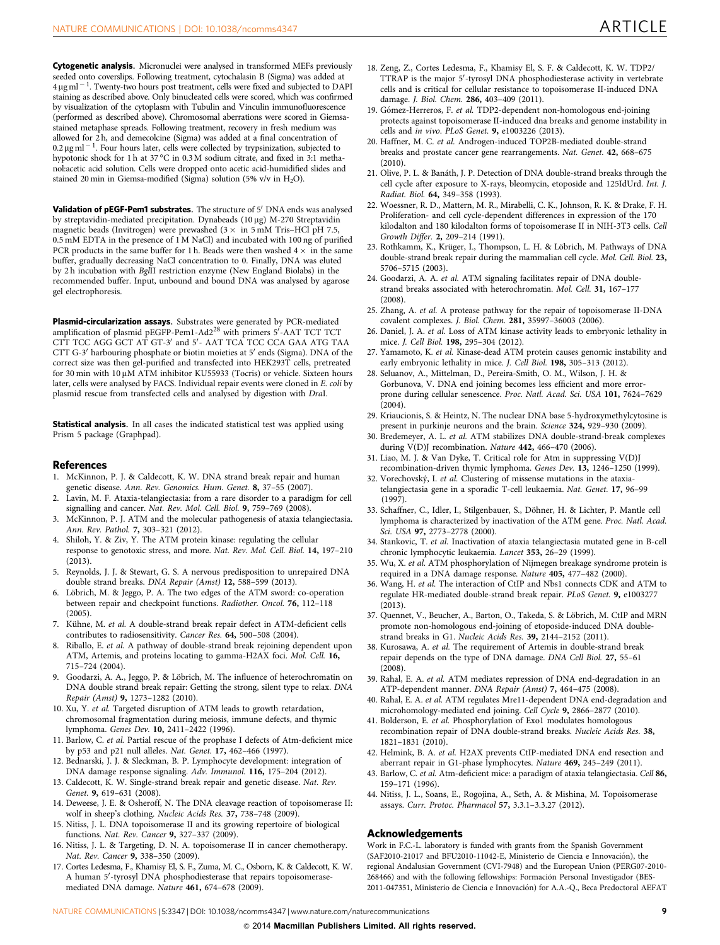<span id="page-8-0"></span>Cytogenetic analysis. Micronuclei were analysed in transformed MEFs previously seeded onto coverslips. Following treatment, cytochalasin B (Sigma) was added at  $4 \,\mathrm{\upmu g\,ml^{-1}}$ . Twenty-two hours post treatment, cells were fixed and subjected to DAPI staining as described above. Only binucleated cells were scored, which was confirmed by visualization of the cytoplasm with Tubulin and Vinculin immunofluorescence (performed as described above). Chromosomal aberrations were scored in Giemsastained metaphase spreads. Following treatment, recovery in fresh medium was allowed for 2 h, and demecolcine (Sigma) was added at a final concentration of 0.2  $\mu$ g ml<sup>-1</sup>. Four hours later, cells were collected by trypsinization, subjected to hypotonic shock for 1 h at 37 °C in 0.3 M sodium citrate, and fixed in 3:1 methanol:acetic acid solution. Cells were dropped onto acetic acid-humidified slides and stained 20 min in Giemsa-modified (Sigma) solution (5% v/v in  $H_2O$ ).

Validation of pEGF-Pem1 substrates. The structure of 5' DNA ends was analysed by streptavidin-mediated precipitation. Dynabeads (10 µg) M-270 Streptavidin magnetic beads (Invitrogen) were prewashed  $(3 \times \text{ in } 5 \text{ mM Tris-HCl pH 7.5)$ 0.5 mM EDTA in the presence of 1 M NaCl) and incubated with 100 ng of purified PCR products in the same buffer for 1 h. Beads were then washed  $4 \times$  in the same buffer, gradually decreasing NaCl concentration to 0. Finally, DNA was eluted by 2 h incubation with BglII restriction enzyme (New England Biolabs) in the recommended buffer. Input, unbound and bound DNA was analysed by agarose gel electrophoresis.

**Plasmid-circularization assays.** Substrates were generated by PCR-mediated<br>amplification of plasmid pEGFP-Pem1-Ad2<sup>28</sup> with primers 5'-AAT TCT TCT CTT TCC AGG GCT AT GT-3' and 5'- AAT TCA TCC CCA GAA ATG TAA CTT G-3<sup>'</sup> harbouring phosphate or biotin moieties at 5<sup>'</sup> ends (Sigma). DNA of the correct size was then gel-purified and transfected into HEK293T cells, pretreated for 30 min with 10 µM ATM inhibitor KU55933 (Tocris) or vehicle. Sixteen hours later, cells were analysed by FACS. Individual repair events were cloned in E. coli by plasmid rescue from transfected cells and analysed by digestion with DraI.

Statistical analysis. In all cases the indicated statistical test was applied using Prism 5 package (Graphpad).

#### **References**

- 1. McKinnon, P. J. & Caldecott, K. W. DNA strand break repair and human genetic disease. Ann. Rev. Genomics. Hum. Genet. 8, 37-55 (2007).
- 2. Lavin, M. F. Ataxia-telangiectasia: from a rare disorder to a paradigm for cell signalling and cancer. Nat. Rev. Mol. Cell. Biol. 9, 759–769 (2008).
- McKinnon, P. J. ATM and the molecular pathogenesis of ataxia telangiectasia. Ann. Rev. Pathol. 7, 303–321 (2012).
- 4. Shiloh, Y. & Ziv, Y. The ATM protein kinase: regulating the cellular response to genotoxic stress, and more. Nat. Rev. Mol. Cell. Biol. 14, 197–210  $(2013)$ .
- 5. Reynolds, J. J. & Stewart, G. S. A nervous predisposition to unrepaired DNA double strand breaks. DNA Repair (Amst) 12, 588–599 (2013).
- 6. Löbrich, M. & Jeggo, P. A. The two edges of the ATM sword: co-operation between repair and checkpoint functions. Radiother. Oncol. 76, 112–118 (2005).
- 7. Kühne, M. et al. A double-strand break repair defect in ATM-deficient cells contributes to radiosensitivity. Cancer Res. 64, 500-508 (2004)
- 8. Riballo, E. et al. A pathway of double-strand break rejoining dependent upon ATM, Artemis, and proteins locating to gamma-H2AX foci. Mol. Cell. 16, 715–724 (2004).
- Goodarzi, A. A., Jeggo, P. & Löbrich, M. The influence of heterochromatin on DNA double strand break repair: Getting the strong, silent type to relax. DNA Repair (Amst) 9, 1273–1282 (2010).
- 10. Xu, Y. et al. Targeted disruption of ATM leads to growth retardation, chromosomal fragmentation during meiosis, immune defects, and thymic lymphoma. Genes Dev. 10, 2411–2422 (1996).
- 11. Barlow, C. et al. Partial rescue of the prophase I defects of Atm-deficient mice by p53 and p21 null alleles. Nat. Genet. 17, 462–466 (1997).
- 12. Bednarski, J. J. & Sleckman, B. P. Lymphocyte development: integration of DNA damage response signaling. Adv. Immunol. 116, 175–204 (2012).
- 13. Caldecott, K. W. Single-strand break repair and genetic disease. Nat. Rev. Genet. 9, 619-631 (2008).
- 14. Deweese, J. E. & Osheroff, N. The DNA cleavage reaction of topoisomerase II: wolf in sheep's clothing. Nucleic Acids Res. 37, 738–748 (2009).
- 15. Nitiss, J. L. DNA topoisomerase II and its growing repertoire of biological functions. Nat. Rev. Cancer 9, 327–337 (2009).
- 16. Nitiss, J. L. & Targeting, D. N. A. topoisomerase II in cancer chemotherapy. Nat. Rev. Cancer 9, 338–350 (2009).
- 17. Cortes Ledesma, F., Khamisy El, S. F., Zuma, M. C., Osborn, K. & Caldecott, K. W. A human 5'-tyrosyl DNA phosphodiesterase that repairs topoisomerasemediated DNA damage. Nature 461, 674–678 (2009).
- 18. Zeng, Z., Cortes Ledesma, F., Khamisy El, S. F. & Caldecott, K. W. TDP2/ TTRAP is the major 5'-tyrosyl DNA phosphodiesterase activity in vertebrate cells and is critical for cellular resistance to topoisomerase II-induced DNA damage. J. Biol. Chem. 286, 403–409 (2011).
- 19. Gómez-Herreros, F. et al. TDP2-dependent non-homologous end-joining protects against topoisomerase II-induced dna breaks and genome instability in cells and in vivo. PLoS Genet. 9, e1003226 (2013).
- 20. Haffner, M. C. et al. Androgen-induced TOP2B-mediated double-strand breaks and prostate cancer gene rearrangements. Nat. Genet. 42, 668–675  $(2010)$
- 21. Olive, P. L. & Bana´th, J. P. Detection of DNA double-strand breaks through the cell cycle after exposure to X-rays, bleomycin, etoposide and 125IdUrd. Int. J. Radiat. Biol. 64, 349–358 (1993).
- 22. Woessner, R. D., Mattern, M. R., Mirabelli, C. K., Johnson, R. K. & Drake, F. H. Proliferation- and cell cycle-dependent differences in expression of the 170 kilodalton and 180 kilodalton forms of topoisomerase II in NIH-3T3 cells. Cell Growth Differ. 2, 209–214 (1991).
- 23. Rothkamm, K., Krüger, I., Thompson, L. H. & Löbrich, M. Pathways of DNA double-strand break repair during the mammalian cell cycle. Mol. Cell. Biol. 23, 5706–5715 (2003).
- 24. Goodarzi, A. A. et al. ATM signaling facilitates repair of DNA doublestrand breaks associated with heterochromatin. Mol. Cell. 31, 167–177 (2008).
- 25. Zhang, A. et al. A protease pathway for the repair of topoisomerase II-DNA covalent complexes. J. Biol. Chem. 281, 35997–36003 (2006).
- 26. Daniel, J. A. et al. Loss of ATM kinase activity leads to embryonic lethality in mice. J. Cell Biol. 198, 295–304 (2012).
- 27. Yamamoto, K. et al. Kinase-dead ATM protein causes genomic instability and early embryonic lethality in mice. J. Cell Biol. 198, 305-313 (2012).
- 28. Seluanov, A., Mittelman, D., Pereira-Smith, O. M., Wilson, J. H. & Gorbunova, V. DNA end joining becomes less efficient and more errorprone during cellular senescence. Proc. Natl. Acad. Sci. USA 101, 7624–7629 (2004).
- 29. Kriaucionis, S. & Heintz, N. The nuclear DNA base 5-hydroxymethylcytosine is present in purkinje neurons and the brain. Science 324, 929–930 (2009).
- 30. Bredemeyer, A. L. et al. ATM stabilizes DNA double-strand-break complexes during V(D)J recombination. Nature 442, 466-470 (2006).
- 31. Liao, M. J. & Van Dyke, T. Critical role for Atm in suppressing V(D)J recombination-driven thymic lymphoma. Genes Dev. 13, 1246–1250 (1999).
- 32. Vorechovský, I. et al. Clustering of missense mutations in the ataxiatelangiectasia gene in a sporadic T-cell leukaemia. Nat. Genet. 17, 96–99 (1997).
- 33. Schaffner, C., Idler, I., Stilgenbauer, S., Döhner, H. & Lichter, P. Mantle cell lymphoma is characterized by inactivation of the ATM gene. Proc. Natl. Acad. Sci. USA 97, 2773–2778 (2000).
- 34. Stankovic, T. et al. Inactivation of ataxia telangiectasia mutated gene in B-cell chronic lymphocytic leukaemia. Lancet 353, 26–29 (1999).
- 35. Wu, X. et al. ATM phosphorylation of Nijmegen breakage syndrome protein is required in a DNA damage response. Nature 405, 477–482 (2000).
- 36. Wang, H. et al. The interaction of CtIP and Nbs1 connects CDK and ATM to regulate HR-mediated double-strand break repair. PLoS Genet. 9, e1003277 (2013).
- 37. Quennet, V., Beucher, A., Barton, O., Takeda, S. & Löbrich, M. CtIP and MRN promote non-homologous end-joining of etoposide-induced DNA doublestrand breaks in G1. Nucleic Acids Res. 39, 2144–2152 (2011).
- 38. Kurosawa, A. et al. The requirement of Artemis in double-strand break repair depends on the type of DNA damage. DNA Cell Biol. 27, 55–61  $(2008).$
- 39. Rahal, E. A. et al. ATM mediates repression of DNA end-degradation in an ATP-dependent manner. DNA Repair (Amst) 7, 464–475 (2008).
- 40. Rahal, E. A. et al. ATM regulates Mre11-dependent DNA end-degradation and microhomology-mediated end joining. Cell Cycle 9, 2866-2877 (2010).
- 41. Bolderson, E. et al. Phosphorylation of Exo1 modulates homologous recombination repair of DNA double-strand breaks. Nucleic Acids Res. 38, 1821–1831 (2010).
- 42. Helmink, B. A. et al. H2AX prevents CtIP-mediated DNA end resection and aberrant repair in G1-phase lymphocytes. Nature 469, 245–249 (2011).
- 43. Barlow, C. et al. Atm-deficient mice: a paradigm of ataxia telangiectasia. Cell 86, 159–171 (1996).
- 44. Nitiss, J. L., Soans, E., Rogojina, A., Seth, A. & Mishina, M. Topoisomerase assays. Curr. Protoc. Pharmacol 57, 3.3.1–3.3.27 (2012).

#### Acknowledgements

Work in F.C.-L. laboratory is funded with grants from the Spanish Government (SAF2010-21017 and BFU2010-11042-E, Ministerio de Ciencia e Innovación), the regional Andalusian Government (CVI-7948) and the European Union (PERG07-2010- 268466) and with the following fellowships: Formación Personal Investigador (BES-2011-047351, Ministerio de Ciencia e Innovación) for A.A.-Q., Beca Predoctoral AEFAT